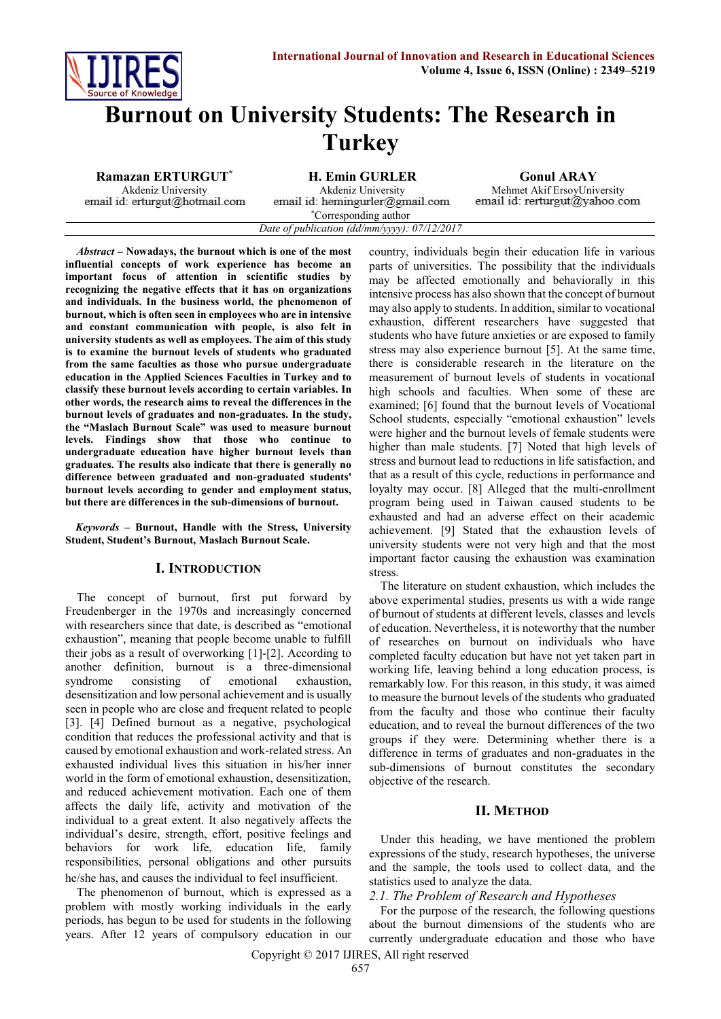

# **Burnout on University Students: The Research in Turkey**

**Ramazan ERTURGUT\* H. Emin GURLER Gonul ARAY**

email id: erturgut@hotmail.com

Akdeniz University Akdeniz University Mehmet Akif ErsoyUniversity email id: rerturgut@yahoo.com

email id: hemingurler@gmail.com \*Corresponding author *Date of publication (dd/mm/yyyy): 07/12/2017*

*Abstract* **– Nowadays, the burnout which is one of the most influential concepts of work experience has become an important focus of attention in scientific studies by recognizing the negative effects that it has on organizations and individuals. In the business world, the phenomenon of burnout, which is often seen in employees who are in intensive and constant communication with people, is also felt in university students as well as employees. The aim of this study is to examine the burnout levels of students who graduated from the same faculties as those who pursue undergraduate education in the Applied Sciences Faculties in Turkey and to classify these burnout levels according to certain variables. In other words, the research aims to reveal the differences in the burnout levels of graduates and non-graduates. In the study, the "Maslach Burnout Scale" was used to measure burnout levels. Findings show that those who continue to undergraduate education have higher burnout levels than graduates. The results also indicate that there is generally no difference between graduated and non-graduated students' burnout levels according to gender and employment status, but there are differences in the sub-dimensions of burnout.**

*Keywords* **– Burnout, Handle with the Stress, University Student, Student's Burnout, Maslach Burnout Scale.**

#### **I. INTRODUCTION**

The concept of burnout, first put forward by Freudenberger in the 1970s and increasingly concerned with researchers since that date, is described as "emotional exhaustion", meaning that people become unable to fulfill their jobs as a result of overworking [1]-[2]. According to another definition, burnout is a three-dimensional syndrome consisting of emotional exhaustion, desensitization and low personal achievement and is usually seen in people who are close and frequent related to people [3]. [4] Defined burnout as a negative, psychological condition that reduces the professional activity and that is caused by emotional exhaustion and work-related stress. An exhausted individual lives this situation in his/her inner world in the form of emotional exhaustion, desensitization, and reduced achievement motivation. Each one of them affects the daily life, activity and motivation of the individual to a great extent. It also negatively affects the individual's desire, strength, effort, positive feelings and behaviors for work life, education life, family responsibilities, personal obligations and other pursuits he/she has, and causes the individual to feel insufficient.

The phenomenon of burnout, which is expressed as a problem with mostly working individuals in the early periods, has begun to be used for students in the following years. After 12 years of compulsory education in our country, individuals begin their education life in various parts of universities. The possibility that the individuals may be affected emotionally and behaviorally in this intensive process has also shown that the concept of burnout may also apply to students. In addition, similar to vocational exhaustion, different researchers have suggested that students who have future anxieties or are exposed to family stress may also experience burnout [5]. At the same time, there is considerable research in the literature on the measurement of burnout levels of students in vocational high schools and faculties. When some of these are examined; [6] found that the burnout levels of Vocational School students, especially "emotional exhaustion" levels were higher and the burnout levels of female students were higher than male students. [7] Noted that high levels of stress and burnout lead to reductions in life satisfaction, and that as a result of this cycle, reductions in performance and loyalty may occur. [8] Alleged that the multi-enrollment program being used in Taiwan caused students to be exhausted and had an adverse effect on their academic achievement. [9] Stated that the exhaustion levels of university students were not very high and that the most important factor causing the exhaustion was examination stress.

The literature on student exhaustion, which includes the above experimental studies, presents us with a wide range of burnout of students at different levels, classes and levels of education. Nevertheless, it is noteworthy that the number of researches on burnout on individuals who have completed faculty education but have not yet taken part in working life, leaving behind a long education process, is remarkably low. For this reason, in this study, it was aimed to measure the burnout levels of the students who graduated from the faculty and those who continue their faculty education, and to reveal the burnout differences of the two groups if they were. Determining whether there is a difference in terms of graduates and non-graduates in the sub-dimensions of burnout constitutes the secondary objective of the research.

#### **II. METHOD**

Under this heading, we have mentioned the problem expressions of the study, research hypotheses, the universe and the sample, the tools used to collect data, and the statistics used to analyze the data.

#### *2.1. The Problem of Research and Hypotheses*

For the purpose of the research, the following questions about the burnout dimensions of the students who are currently undergraduate education and those who have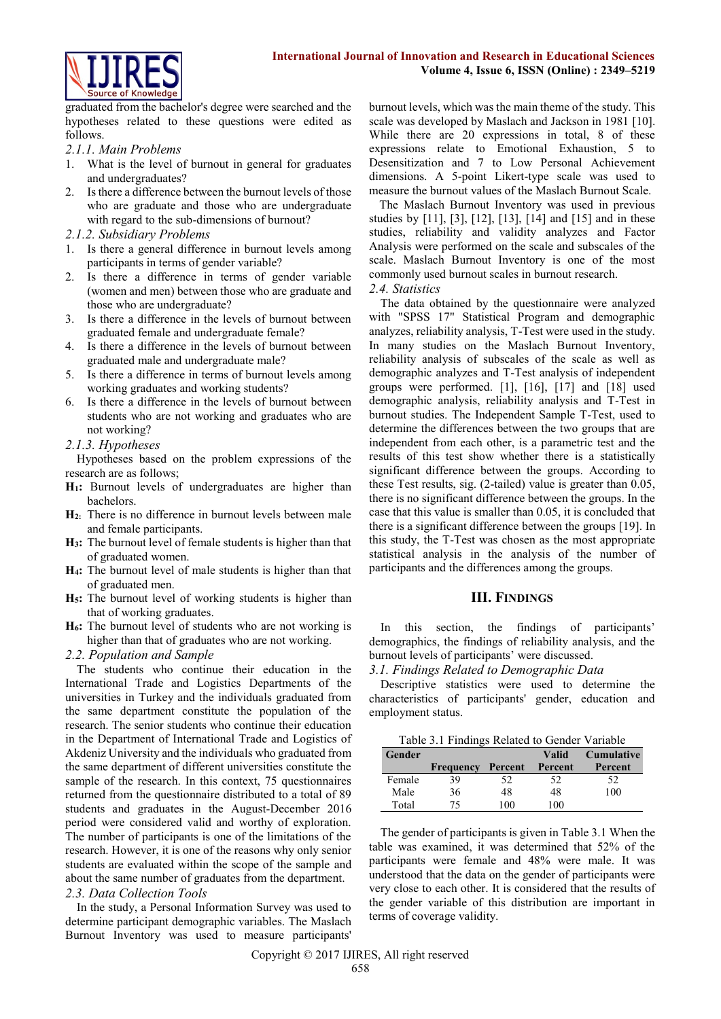

graduated from the bachelor's degree were searched and the hypotheses related to these questions were edited as follows.

### *2.1.1. Main Problems*

- 1. What is the level of burnout in general for graduates and undergraduates?
- 2. Is there a difference between the burnout levels of those who are graduate and those who are undergraduate with regard to the sub-dimensions of burnout?
- *2.1.2. Subsidiary Problems*
- 1. Is there a general difference in burnout levels among participants in terms of gender variable?
- 2. Is there a difference in terms of gender variable (women and men) between those who are graduate and those who are undergraduate?
- 3. Is there a difference in the levels of burnout between graduated female and undergraduate female?
- 4. Is there a difference in the levels of burnout between graduated male and undergraduate male?
- 5. Is there a difference in terms of burnout levels among working graduates and working students?
- 6. Is there a difference in the levels of burnout between students who are not working and graduates who are not working?
- *2.1.3. Hypotheses*

Hypotheses based on the problem expressions of the research are as follows;

- **H1:** Burnout levels of undergraduates are higher than bachelors.
- **H2:** There is no difference in burnout levels between male and female participants.
- **H3:** The burnout level of female students is higher than that of graduated women.
- **H4:** The burnout level of male students is higher than that of graduated men.
- **H5:** The burnout level of working students is higher than that of working graduates.
- **H6:** The burnout level of students who are not working is higher than that of graduates who are not working.
- *2.2. Population and Sample*

The students who continue their education in the International Trade and Logistics Departments of the universities in Turkey and the individuals graduated from the same department constitute the population of the research. The senior students who continue their education in the Department of International Trade and Logistics of Akdeniz University and the individuals who graduated from the same department of different universities constitute the sample of the research. In this context, 75 questionnaires returned from the questionnaire distributed to a total of 89 students and graduates in the August-December 2016 period were considered valid and worthy of exploration. The number of participants is one of the limitations of the research. However, it is one of the reasons why only senior students are evaluated within the scope of the sample and about the same number of graduates from the department.

# *2.3. Data Collection Tools*

In the study, a Personal Information Survey was used to determine participant demographic variables. The Maslach Burnout Inventory was used to measure participants' burnout levels, which was the main theme of the study. This scale was developed by Maslach and Jackson in 1981 [10]. While there are 20 expressions in total, 8 of these expressions relate to Emotional Exhaustion, 5 to Desensitization and 7 to Low Personal Achievement dimensions. A 5-point Likert-type scale was used to measure the burnout values of the Maslach Burnout Scale.

The Maslach Burnout Inventory was used in previous studies by [11], [3], [12], [13], [14] and [15] and in these studies, reliability and validity analyzes and Factor Analysis were performed on the scale and subscales of the scale. Maslach Burnout Inventory is one of the most commonly used burnout scales in burnout research. *2.4. Statistics* 

The data obtained by the questionnaire were analyzed with "SPSS 17" Statistical Program and demographic analyzes, reliability analysis, T-Test were used in the study. In many studies on the Maslach Burnout Inventory, reliability analysis of subscales of the scale as well as demographic analyzes and T-Test analysis of independent groups were performed. [1], [16], [17] and [18] used demographic analysis, reliability analysis and T-Test in burnout studies. The Independent Sample T-Test, used to determine the differences between the two groups that are independent from each other, is a parametric test and the results of this test show whether there is a statistically significant difference between the groups. According to these Test results, sig. (2-tailed) value is greater than 0.05, there is no significant difference between the groups. In the case that this value is smaller than 0.05, it is concluded that there is a significant difference between the groups [19]. In this study, the T-Test was chosen as the most appropriate statistical analysis in the analysis of the number of participants and the differences among the groups.

#### **III. FINDINGS**

In this section, the findings of participants' demographics, the findings of reliability analysis, and the burnout levels of participants' were discussed.

## *3.1. Findings Related to Demographic Data*

Descriptive statistics were used to determine the characteristics of participants' gender, education and employment status.

|  | Table 3.1 Findings Related to Gender Variable |  |
|--|-----------------------------------------------|--|
|  |                                               |  |

| Gender |                  |         | Valid   | <b>Cumulative</b> |
|--------|------------------|---------|---------|-------------------|
|        | <b>Frequency</b> | Percent | Percent | Percent           |
| Female | 39               | 52      | 52      | 52                |
| Male   | 36               | 48      | 48      | 100               |
| Total  | 75               | 100     | 100     |                   |

The gender of participants is given in Table 3.1 When the table was examined, it was determined that 52% of the participants were female and 48% were male. It was understood that the data on the gender of participants were very close to each other. It is considered that the results of the gender variable of this distribution are important in terms of coverage validity.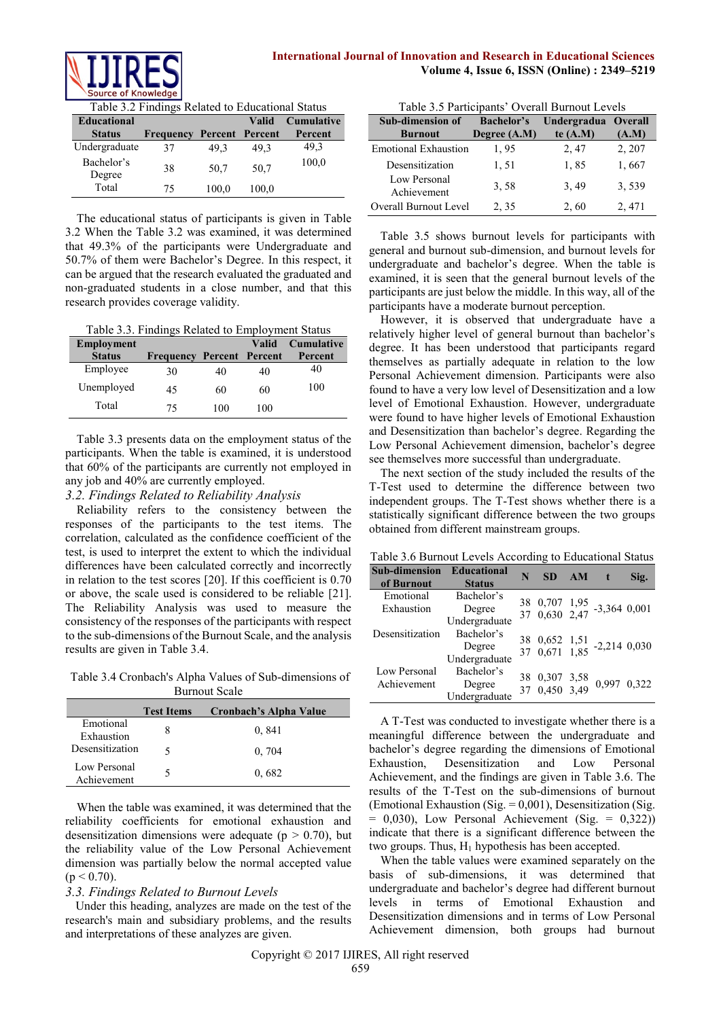



Table 3.2 Findings Related to Educational Status

| <b>Educational</b>   |           |                        | <b>Valid</b> | <b>Cumulative</b> |
|----------------------|-----------|------------------------|--------------|-------------------|
| <b>Status</b>        | Frequency | <b>Percent Percent</b> |              | Percent           |
| Undergraduate        | 37        | 49.3                   | 49.3         | 49.3              |
| Bachelor's<br>Degree | 38        | 50,7                   | 50,7         | 100,0             |
| Total                | 75        | 100,0                  | 100,0        |                   |

The educational status of participants is given in Table 3.2 When the Table 3.2 was examined, it was determined that 49.3% of the participants were Undergraduate and 50.7% of them were Bachelor's Degree. In this respect, it can be argued that the research evaluated the graduated and non-graduated students in a close number, and that this research provides coverage validity.

Table 3.3. Findings Related to Employment Status

| Employment    |                                  |     | <b>Valid</b> | <b>Cumulative</b> |
|---------------|----------------------------------|-----|--------------|-------------------|
| <b>Status</b> | <b>Frequency Percent Percent</b> |     |              | Percent           |
| Employee      | 30                               | 40  | 40           | 40                |
| Unemployed    | 45                               | 60  | 60           | 100               |
| Total         | 75                               | 100 | 100          |                   |

Table 3.3 presents data on the employment status of the participants. When the table is examined, it is understood that 60% of the participants are currently not employed in any job and 40% are currently employed.

### *3.2. Findings Related to Reliability Analysis*

Reliability refers to the consistency between the responses of the participants to the test items. The correlation, calculated as the confidence coefficient of the test, is used to interpret the extent to which the individual differences have been calculated correctly and incorrectly in relation to the test scores [20]. If this coefficient is 0.70 or above, the scale used is considered to be reliable [21]. The Reliability Analysis was used to measure the consistency of the responses of the participants with respect to the sub-dimensions of the Burnout Scale, and the analysis results are given in Table 3.4.

Table 3.4 Cronbach's Alpha Values of Sub-dimensions of Burnout Scale

|                             | <b>Test Items</b> | Cronbach's Alpha Value |
|-----------------------------|-------------------|------------------------|
| Emotional<br>Exhaustion     |                   | 0,841                  |
| Desensitization             |                   | 0, 704                 |
| Low Personal<br>Achievement |                   | 0.682                  |

When the table was examined, it was determined that the reliability coefficients for emotional exhaustion and desensitization dimensions were adequate ( $p > 0.70$ ), but the reliability value of the Low Personal Achievement dimension was partially below the normal accepted value  $(p < 0.70)$ .

#### *3.3. Findings Related to Burnout Levels*

Under this heading, analyzes are made on the test of the research's main and subsidiary problems, and the results and interpretations of these analyzes are given.

|  | Table 3.5 Participants' Overall Burnout Levels |
|--|------------------------------------------------|
|--|------------------------------------------------|

| <b>Sub-dimension of</b>      | <b>Bachelor's</b> | Undergradua Overall |        |
|------------------------------|-------------------|---------------------|--------|
| <b>Burnout</b>               | Degree (A.M)      | te $(A.M)$          | (A.M)  |
| <b>Emotional Exhaustion</b>  | 1,95              | 2, 47               | 2, 207 |
| Desensitization              | 1,51              | 1,85                | 1,667  |
| Low Personal<br>Achievement  | 3.58              | 3,49                | 3,539  |
| <b>Overall Burnout Level</b> | 2, 35             | 2,60                | 2, 471 |

Table 3.5 shows burnout levels for participants with general and burnout sub-dimension, and burnout levels for undergraduate and bachelor's degree. When the table is examined, it is seen that the general burnout levels of the participants are just below the middle. In this way, all of the participants have a moderate burnout perception.

However, it is observed that undergraduate have a relatively higher level of general burnout than bachelor's degree. It has been understood that participants regard themselves as partially adequate in relation to the low Personal Achievement dimension. Participants were also found to have a very low level of Desensitization and a low level of Emotional Exhaustion. However, undergraduate were found to have higher levels of Emotional Exhaustion and Desensitization than bachelor's degree. Regarding the Low Personal Achievement dimension, bachelor's degree see themselves more successful than undergraduate.

The next section of the study included the results of the T-Test used to determine the difference between two independent groups. The T-Test shows whether there is a statistically significant difference between the two groups obtained from different mainstream groups.

Table 3.6 Burnout Levels According to Educational Status

| <b>Sub-dimension</b><br>of Burnout | <b>Educational</b><br><b>Status</b> | N  | SD AM                       |                                                          | Sig. |
|------------------------------------|-------------------------------------|----|-----------------------------|----------------------------------------------------------|------|
| Emotional                          | Bachelor's                          |    |                             |                                                          |      |
| Exhaustion                         | Degree                              |    |                             | 38 0,707 1,95 -3,364 0,001<br>37 0,630 2,47 -3,364 0,001 |      |
|                                    | Undergraduate                       |    |                             |                                                          |      |
| Desensitization                    | Bachelor's                          |    |                             |                                                          |      |
|                                    | Degree                              |    |                             | 38 0,652 1,51 -2,214 0,030<br>37 0,671 1,85 -2,214 0,030 |      |
|                                    | Undergraduate                       |    |                             |                                                          |      |
| Low Personal                       | Bachelor's                          |    |                             |                                                          |      |
| Achievement                        | Degree                              | 38 | 0,307 3,58<br>37 0,450 3,49 | 0,997 0,322                                              |      |
|                                    | Undergraduate                       |    |                             |                                                          |      |

A T-Test was conducted to investigate whether there is a meaningful difference between the undergraduate and bachelor's degree regarding the dimensions of Emotional Exhaustion, Desensitization and Low Personal Achievement, and the findings are given in Table 3.6. The results of the T-Test on the sub-dimensions of burnout (Emotional Exhaustion (Sig.  $= 0.001$ ), Desensitization (Sig.  $= 0.030$ , Low Personal Achievement (Sig.  $= 0.322$ )) indicate that there is a significant difference between the two groups. Thus,  $H_1$  hypothesis has been accepted.

When the table values were examined separately on the basis of sub-dimensions, it was determined that undergraduate and bachelor's degree had different burnout levels in terms of Emotional Exhaustion and Desensitization dimensions and in terms of Low Personal Achievement dimension, both groups had burnout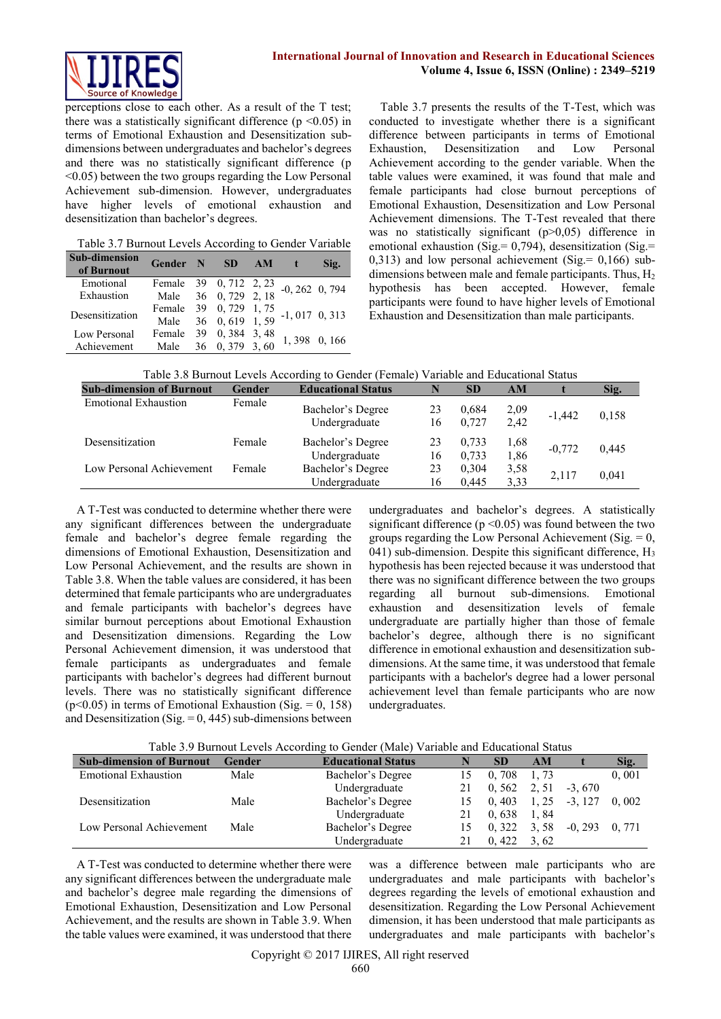perceptions close to each other. As a result of the T test; there was a statistically significant difference ( $p \le 0.05$ ) in terms of Emotional Exhaustion and Desensitization subdimensions between undergraduates and bachelor's degrees and there was no statistically significant difference (p <0.05) between the two groups regarding the Low Personal Achievement sub-dimension. However, undergraduates have higher levels of emotional exhaustion and desensitization than bachelor's degrees.

Table 3.7 Burnout Levels According to Gender Variable

| <b>Sub-dimension</b><br>of Burnout | Gender N SD                                    |                      | AM | $\mathbf t$       | Sig. |
|------------------------------------|------------------------------------------------|----------------------|----|-------------------|------|
| Emotional                          | Female 39 0, 712 2, 23                         |                      |    | $-0, 262, 0, 794$ |      |
| Exhaustion                         |                                                | Male 36 0, 729 2, 18 |    |                   |      |
|                                    | Female 39 0, 729 1, 75<br>Male 36 0, 619 1, 59 |                      |    | $-1, 017, 0, 313$ |      |
| Desensitization                    |                                                |                      |    |                   |      |
| Low Personal                       | Female 39 0, 384 3, 48                         |                      |    |                   |      |
| Achievement                        | Male                                           | 36 0, 379 3, 60      |    | 1,398 0,166       |      |

Table 3.7 presents the results of the T-Test, which was conducted to investigate whether there is a significant difference between participants in terms of Emotional Exhaustion, Desensitization and Low Personal Achievement according to the gender variable. When the table values were examined, it was found that male and female participants had close burnout perceptions of Emotional Exhaustion, Desensitization and Low Personal Achievement dimensions. The T-Test revealed that there was no statistically significant (p>0,05) difference in emotional exhaustion (Sig. =  $0.794$ ), desensitization (Sig. = 0,313) and low personal achievement (Sig. =  $0,166$ ) subdimensions between male and female participants. Thus,  $H_2$ hypothesis has been accepted. However, female participants were found to have higher levels of Emotional Exhaustion and Desensitization than male participants.

Table 3.8 Burnout Levels According to Gender (Female) Variable and Educational Status

| <b>Sub-dimension of Burnout</b> | Gender | <b>Educational Status</b>          |          | <b>SD</b>      | AM           |          | Sig.  |
|---------------------------------|--------|------------------------------------|----------|----------------|--------------|----------|-------|
| <b>Emotional Exhaustion</b>     | Female | Bachelor's Degree<br>Undergraduate | 23<br>16 | 0.684<br>0.727 | 2,09<br>2,42 | $-1.442$ | 0.158 |
| Desensitization                 | Female | Bachelor's Degree<br>Undergraduate | 23<br>16 | 0.733<br>0.733 | 1,68<br>1,86 | $-0.772$ | 0,445 |
| Low Personal Achievement        | Female | Bachelor's Degree<br>Undergraduate | 23<br>16 | 0.304<br>0.445 | 3,58<br>3.33 | 2,117    | 0,041 |

A T-Test was conducted to determine whether there were any significant differences between the undergraduate female and bachelor's degree female regarding the dimensions of Emotional Exhaustion, Desensitization and Low Personal Achievement, and the results are shown in Table 3.8. When the table values are considered, it has been determined that female participants who are undergraduates and female participants with bachelor's degrees have similar burnout perceptions about Emotional Exhaustion and Desensitization dimensions. Regarding the Low Personal Achievement dimension, it was understood that female participants as undergraduates and female participants with bachelor's degrees had different burnout levels. There was no statistically significant difference ( $p<0.05$ ) in terms of Emotional Exhaustion (Sig. = 0, 158) and Desensitization (Sig.  $= 0$ , 445) sub-dimensions between

undergraduates and bachelor's degrees. A statistically significant difference ( $p \le 0.05$ ) was found between the two groups regarding the Low Personal Achievement ( $\text{Sig.} = 0$ ).  $(041)$  sub-dimension. Despite this significant difference, H<sub>3</sub> hypothesis has been rejected because it was understood that there was no significant difference between the two groups regarding all burnout sub-dimensions. Emotional exhaustion and desensitization levels of female undergraduate are partially higher than those of female bachelor's degree, although there is no significant difference in emotional exhaustion and desensitization subdimensions. At the same time, it was understood that female participants with a bachelor's degree had a lower personal achievement level than female participants who are now undergraduates.

| Table 3.9 Burnout Levels According to Gender (Male) Variable and Educational Status |  |  |  |
|-------------------------------------------------------------------------------------|--|--|--|
|                                                                                     |  |  |  |

| <b>Sub-dimension of Burnout</b> | Gender | <b>Educational Status</b> |    | <b>SD</b> | AM    |           | Sig.  |  |  |
|---------------------------------|--------|---------------------------|----|-----------|-------|-----------|-------|--|--|
| <b>Emotional Exhaustion</b>     | Male   | Bachelor's Degree         | 15 | 0.708     | 1.73  |           | 0,001 |  |  |
|                                 |        | Undergraduate             |    | 0.562     | 2.51  | $-3.670$  |       |  |  |
| Desensitization                 | Male   | Bachelor's Degree         |    | 0.403     | 1, 25 | $-3, 127$ | 0.002 |  |  |
|                                 |        | Undergraduate             |    | 0.638     | 1.84  |           |       |  |  |
| Low Personal Achievement        | Male   | Bachelor's Degree         |    | 0.322     | 3.58  | $-0.293$  | 0.771 |  |  |
|                                 |        | Undergraduate             |    | 0.422     | 3.62  |           |       |  |  |

A T-Test was conducted to determine whether there were any significant differences between the undergraduate male and bachelor's degree male regarding the dimensions of Emotional Exhaustion, Desensitization and Low Personal Achievement, and the results are shown in Table 3.9. When the table values were examined, it was understood that there was a difference between male participants who are undergraduates and male participants with bachelor's degrees regarding the levels of emotional exhaustion and desensitization. Regarding the Low Personal Achievement dimension, it has been understood that male participants as undergraduates and male participants with bachelor's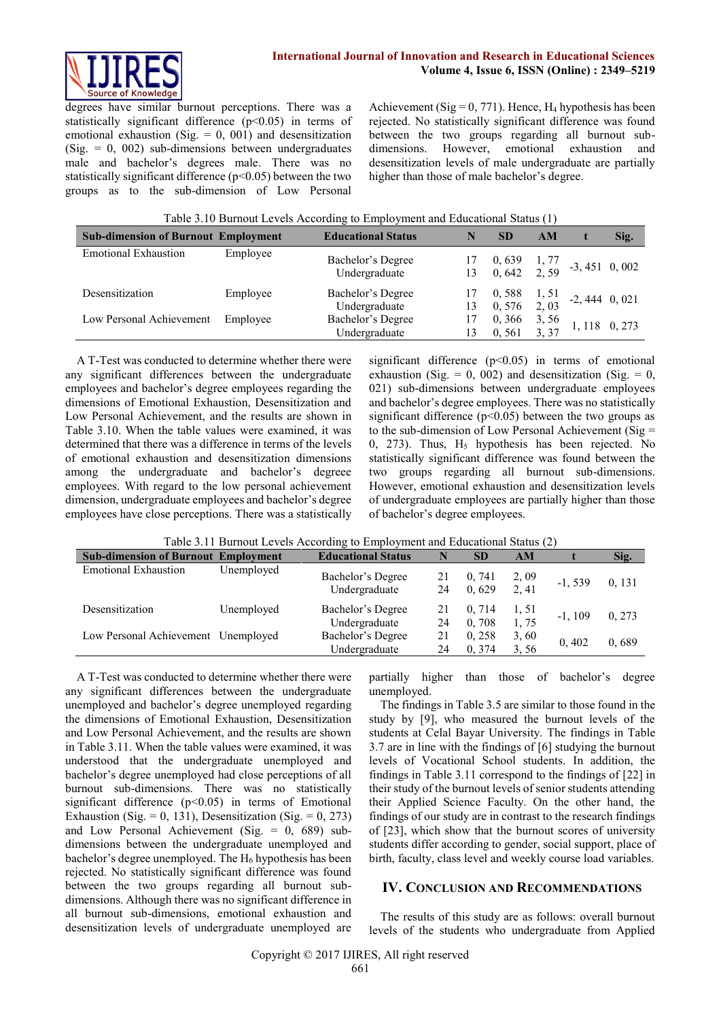

degrees have similar burnout perceptions. There was a statistically significant difference  $(p<0.05)$  in terms of emotional exhaustion (Sig.  $= 0$ , 001) and desensitization  $(Sig. = 0, 002)$  sub-dimensions between undergraduates male and bachelor's degrees male. There was no statistically significant difference (p<0.05) between the two groups as to the sub-dimension of Low Personal

Achievement (Sig = 0, 771). Hence,  $H_4$  hypothesis has been rejected. No statistically significant difference was found between the two groups regarding all burnout subdimensions. However, emotional exhaustion and desensitization levels of male undergraduate are partially higher than those of male bachelor's degree.

| Table 3.10 Burnout Levels According to Employment and Educational Status (1) |  |  |
|------------------------------------------------------------------------------|--|--|
|                                                                              |  |  |

| <b>Sub-dimension of Burnout Employment</b> |          | <b>Educational Status</b>          | N  | <b>SD</b>                                                                  | AM | Sig. |
|--------------------------------------------|----------|------------------------------------|----|----------------------------------------------------------------------------|----|------|
| <b>Emotional Exhaustion</b>                | Employee | Bachelor's Degree<br>Undergraduate |    | $17$ 0, 639 1, 77 -3, 451 0, 002<br>13 0, 642 2, 59 -3, 451                |    |      |
| Desensitization                            | Employee | Bachelor's Degree<br>Undergraduate |    | $17$ 0, 588 1, 51 -2, 444 0, 021<br>13 0, 576 2, 03 -2, 444 0, 021         |    |      |
| Low Personal Achievement                   | Employee | Bachelor's Degree<br>Undergraduate | 13 | $\begin{array}{cc} 0,366 & 3,56 \\ 0,561 & 3,37 \end{array}$ 1, 118 0, 273 |    |      |

A T-Test was conducted to determine whether there were any significant differences between the undergraduate employees and bachelor's degree employees regarding the dimensions of Emotional Exhaustion, Desensitization and Low Personal Achievement, and the results are shown in Table 3.10. When the table values were examined, it was determined that there was a difference in terms of the levels of emotional exhaustion and desensitization dimensions among the undergraduate and bachelor's degreee employees. With regard to the low personal achievement dimension, undergraduate employees and bachelor's degree employees have close perceptions. There was a statistically

significant difference  $(p<0.05)$  in terms of emotional exhaustion (Sig.  $= 0$ , 002) and desensitization (Sig.  $= 0$ , 021) sub-dimensions between undergraduate employees and bachelor's degree employees. There was no statistically significant difference ( $p$ <0.05) between the two groups as to the sub-dimension of Low Personal Achievement (Sig = 0, 273). Thus,  $H_5$  hypothesis has been rejected. No statistically significant difference was found between the two groups regarding all burnout sub-dimensions. However, emotional exhaustion and desensitization levels of undergraduate employees are partially higher than those of bachelor's degree employees.

| <b>Sub-dimension of Burnout Employment</b> |            | <b>Educational Status</b>          | N        | <b>SD</b>       | AM            |           | Sig.   |
|--------------------------------------------|------------|------------------------------------|----------|-----------------|---------------|-----------|--------|
| <b>Emotional Exhaustion</b>                | Unemploved | Bachelor's Degree<br>Undergraduate | 21<br>24 | 0.741<br>0.629  | 2,09<br>2, 41 | $-1, 539$ | 0, 131 |
| Desensitization                            | Unemployed | Bachelor's Degree<br>Undergraduate | 21<br>24 | 0.714<br>0,708  | 1, 51<br>1,75 | $-1, 109$ | 0, 273 |
| Low Personal Achievement Unemployed        |            | Bachelor's Degree<br>Undergraduate | 21<br>24 | 0.258<br>0, 374 | 3,60<br>3.56  | 0,402     | 0.689  |

| Table 3.11 Burnout Levels According to Employment and Educational Status (2) |  |  |  |
|------------------------------------------------------------------------------|--|--|--|
|------------------------------------------------------------------------------|--|--|--|

A T-Test was conducted to determine whether there were any significant differences between the undergraduate unemployed and bachelor's degree unemployed regarding the dimensions of Emotional Exhaustion, Desensitization and Low Personal Achievement, and the results are shown in Table 3.11. When the table values were examined, it was understood that the undergraduate unemployed and bachelor's degree unemployed had close perceptions of all burnout sub-dimensions. There was no statistically significant difference  $(p<0.05)$  in terms of Emotional Exhaustion (Sig. = 0, 131), Desensitization (Sig. = 0, 273) and Low Personal Achievement (Sig. = 0, 689) subdimensions between the undergraduate unemployed and bachelor's degree unemployed. The  $H_6$  hypothesis has been rejected. No statistically significant difference was found between the two groups regarding all burnout subdimensions. Although there was no significant difference in all burnout sub-dimensions, emotional exhaustion and desensitization levels of undergraduate unemployed are

partially higher than those of bachelor's degree unemployed.

The findings in Table 3.5 are similar to those found in the study by [9], who measured the burnout levels of the students at Celal Bayar University. The findings in Table 3.7 are in line with the findings of [6] studying the burnout levels of Vocational School students. In addition, the findings in Table 3.11 correspond to the findings of [22] in their study of the burnout levels of senior students attending their Applied Science Faculty. On the other hand, the findings of our study are in contrast to the research findings of [23], which show that the burnout scores of university students differ according to gender, social support, place of birth, faculty, class level and weekly course load variables.

#### **IV. CONCLUSION AND RECOMMENDATIONS**

The results of this study are as follows: overall burnout levels of the students who undergraduate from Applied